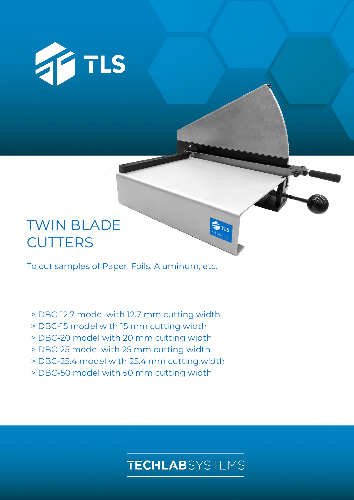

# TWIN BLADE **CUTTERS**

To cut samples of Paper, Foils, Aluminum, etc.

- > DBC-12.7 model with 12.7 mm cutting width
- > DBC-15 model with 15 mm cutting width
- > DBC-20 model with 20 mm cutting width
- > DBC-25 model with 25 mm cutting width
- > DBC-25.4 model with 25.4 mm cutting width
- > DBC-50 model with 50 mm cutting width

## **TECHLAB**SYSTEMS

**TETLS**